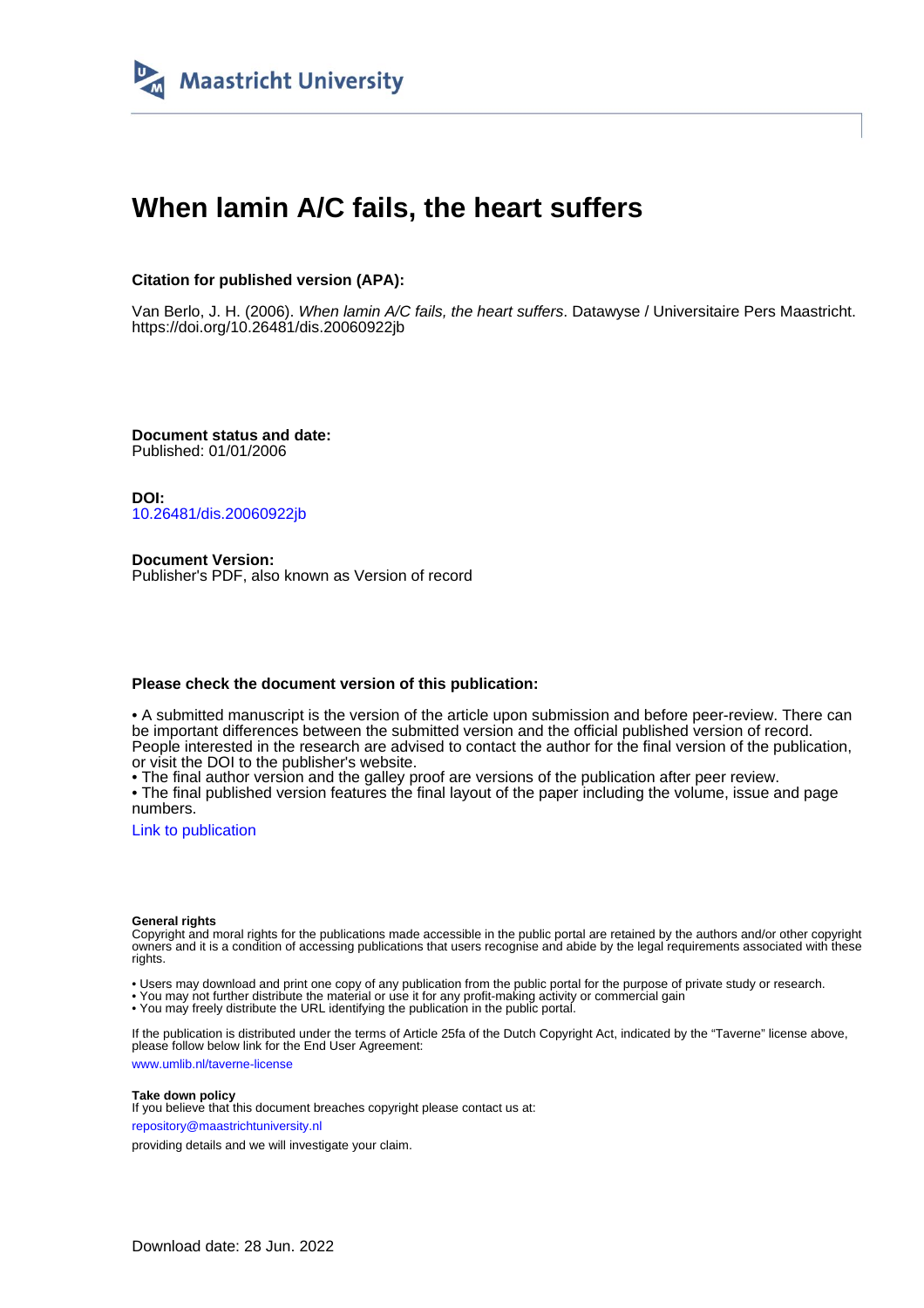

# **When lamin A/C fails, the heart suffers**

### **Citation for published version (APA):**

Van Berlo, J. H. (2006). When lamin A/C fails, the heart suffers. Datawyse / Universitaire Pers Maastricht. <https://doi.org/10.26481/dis.20060922jb>

**Document status and date:** Published: 01/01/2006

**DOI:** [10.26481/dis.20060922jb](https://doi.org/10.26481/dis.20060922jb)

**Document Version:** Publisher's PDF, also known as Version of record

#### **Please check the document version of this publication:**

• A submitted manuscript is the version of the article upon submission and before peer-review. There can be important differences between the submitted version and the official published version of record. People interested in the research are advised to contact the author for the final version of the publication, or visit the DOI to the publisher's website.

• The final author version and the galley proof are versions of the publication after peer review.

• The final published version features the final layout of the paper including the volume, issue and page numbers.

[Link to publication](https://cris.maastrichtuniversity.nl/en/publications/2ea799df-cc1d-4e8f-b486-ba0ead0f1eb5)

#### **General rights**

Copyright and moral rights for the publications made accessible in the public portal are retained by the authors and/or other copyright owners and it is a condition of accessing publications that users recognise and abide by the legal requirements associated with these rights.

• Users may download and print one copy of any publication from the public portal for the purpose of private study or research.

• You may not further distribute the material or use it for any profit-making activity or commercial gain

• You may freely distribute the URL identifying the publication in the public portal.

If the publication is distributed under the terms of Article 25fa of the Dutch Copyright Act, indicated by the "Taverne" license above, please follow below link for the End User Agreement:

www.umlib.nl/taverne-license

#### **Take down policy**

If you believe that this document breaches copyright please contact us at: repository@maastrichtuniversity.nl

providing details and we will investigate your claim.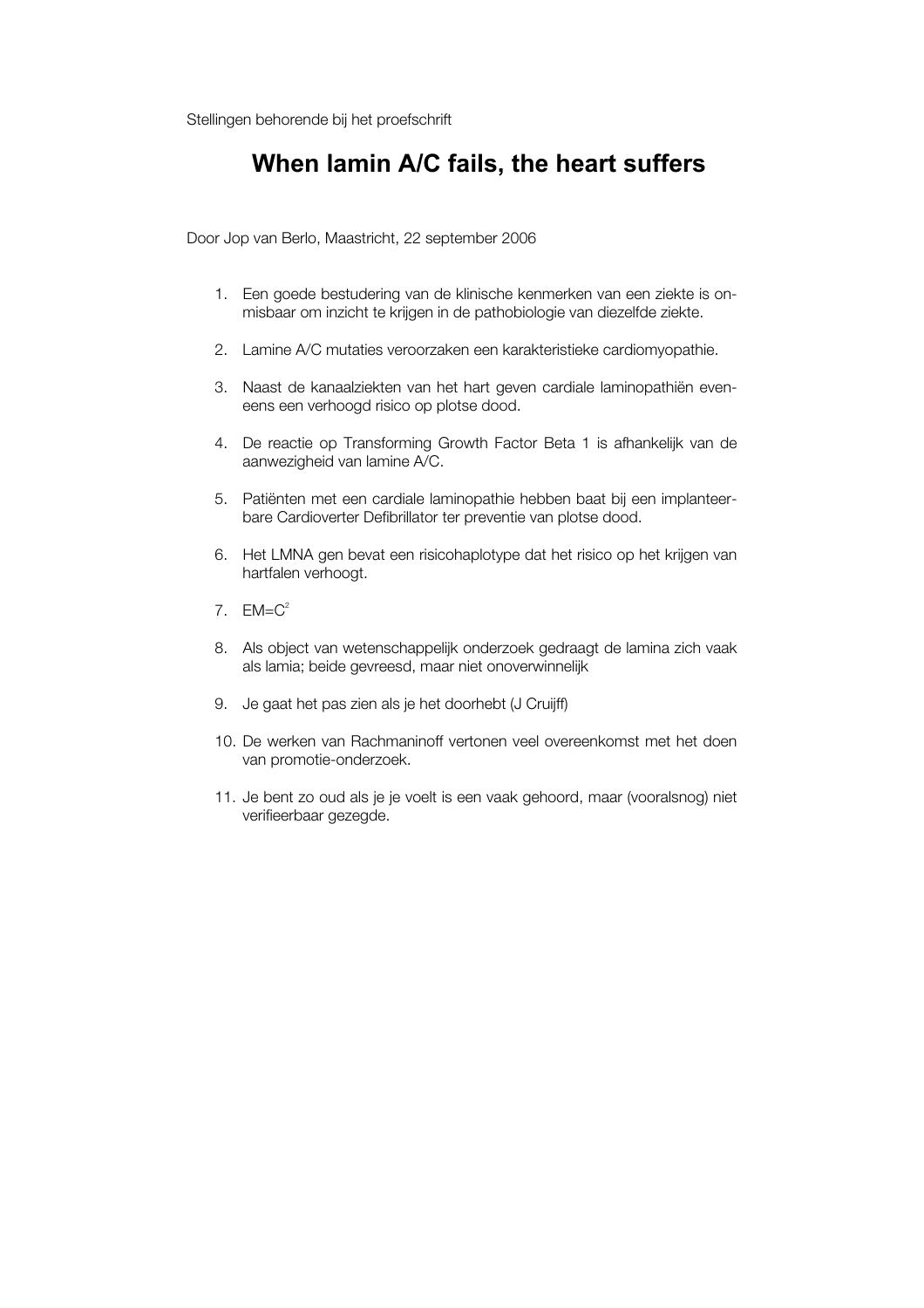Stellingen behorende bij het proefschrift

## **When lamin A/C fails, the heart suffers**

Door Jop van Berlo, Maastricht, 22 september 2006

- 1. Een goede bestudering van de klinische kenmerken van een ziekte is onmisbaar om inzicht te krijgen in de pathobiologie van diezelfde ziekte.
- 2. Lamine A/C mutaties veroorzaken een karakteristieke cardiomyopathie.
- 3. Naast de kanaalziekten van het hart geven cardiale laminopathiën eveneens een verhoogd risico op plotse dood.
- 4. De reactie op Transforming Growth Factor Beta 1 is afhankelijk van de aanwezigheid van lamine A/C.
- 5. Patiënten met een cardiale laminopathie hebben baat bij een implanteerbare Cardioverter Defibrillator ter preventie van plotse dood.
- 6. Het LMNA gen bevat een risicohaplotype dat het risico op het krijgen van hartfalen verhoogt.
- 7.  $F\mathsf{M}=\mathsf{C}^2$
- 8. Als object van wetenschappelijk onderzoek gedraagt de lamina zich vaak als lamia; beide gevreesd, maar niet onoverwinnelijk
- 9. Je gaat het pas zien als je het doorhebt (J Cruijff)
- 10. De werken van Rachmaninoff vertonen veel overeenkomst met het doen van promotie-onderzoek.
- 11. Je bent zo oud als je je voelt is een vaak gehoord, maar (vooralsnog) niet verifieerbaar gezegde.